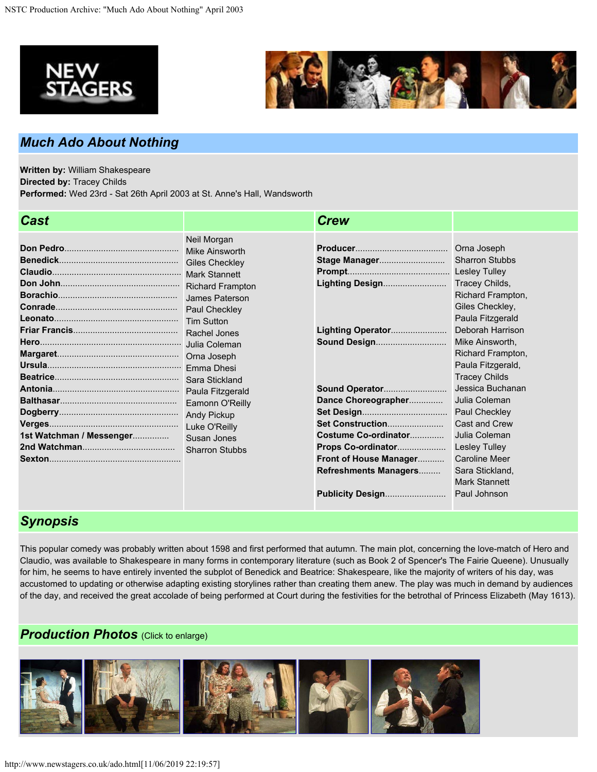



## *Much Ado About Nothing*

**Written by:** William Shakespeare **Directed by:** Tracey Childs **Performed:** Wed 23rd - Sat 26th April 2003 at St. Anne's Hall, Wandsworth

| <b>Cast</b>              |                                                                                                                                                                                            | <b>Crew</b>                                                                                                                                                                                                                                  |                                                                                                                                                                                                                                                                                                                                                                                                                                                               |
|--------------------------|--------------------------------------------------------------------------------------------------------------------------------------------------------------------------------------------|----------------------------------------------------------------------------------------------------------------------------------------------------------------------------------------------------------------------------------------------|---------------------------------------------------------------------------------------------------------------------------------------------------------------------------------------------------------------------------------------------------------------------------------------------------------------------------------------------------------------------------------------------------------------------------------------------------------------|
| 1st Watchman / Messenger | Neil Morgan<br>Mike Ainsworth<br>James Paterson<br><b>Tim Sutton</b><br>Paula Fitzgerald<br>Eamonn O'Reilly<br><b>Andy Pickup</b><br>Luke O'Reilly<br>Susan Jones<br><b>Sharron Stubbs</b> | Stage Manager<br>Lighting Design<br>Lighting Operator<br>Sound Design<br>Dance Choreographer<br>Set Construction<br>Costume Co-ordinator<br>Props Co-ordinator<br>Front of House Manager<br>Refreshments Managers<br><b>Publicity Design</b> | Orna Joseph<br><b>Sharron Stubbs</b><br><b>Lesley Tulley</b><br>Tracey Childs,<br>Richard Frampton,<br>Giles Checkley,<br>Paula Fitzgerald<br>Deborah Harrison<br>Mike Ainsworth,<br>Richard Frampton,<br>Paula Fitzgerald,<br><b>Tracey Childs</b><br>Jessica Buchanan<br>Julia Coleman<br>Paul Checkley<br><b>Cast and Crew</b><br>Julia Coleman<br><b>Lesley Tulley</b><br><b>Caroline Meer</b><br>Sara Stickland,<br><b>Mark Stannett</b><br>Paul Johnson |
|                          |                                                                                                                                                                                            |                                                                                                                                                                                                                                              |                                                                                                                                                                                                                                                                                                                                                                                                                                                               |

## *Synopsis*

This popular comedy was probably written about 1598 and first performed that autumn. The main plot, concerning the love-match of Hero and Claudio, was available to Shakespeare in many forms in contemporary literature (such as Book 2 of Spencer's The Fairie Queene). Unusually for him, he seems to have entirely invented the subplot of Benedick and Beatrice: Shakespeare, like the majority of writers of his day, was accustomed to updating or otherwise adapting existing storylines rather than creating them anew. The play was much in demand by audiences of the day, and received the great accolade of being performed at Court during the festivities for the betrothal of Princess Elizabeth (May 1613).

## *Production Photos (Click to enlarge)*